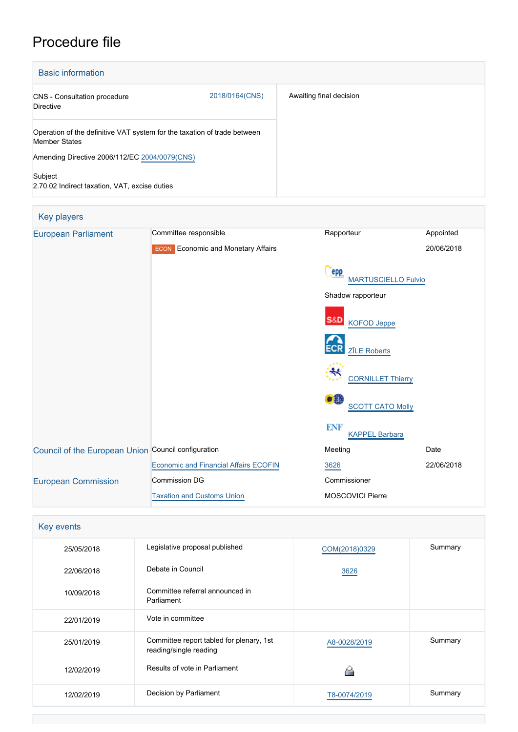# Procedure file

| <b>Basic information</b>                                                                         |                |                         |
|--------------------------------------------------------------------------------------------------|----------------|-------------------------|
| <b>CNS</b> - Consultation procedure<br>Directive                                                 | 2018/0164(CNS) | Awaiting final decision |
| Operation of the definitive VAT system for the taxation of trade between<br><b>Member States</b> |                |                         |
| Amending Directive 2006/112/EC 2004/0079(CNS)                                                    |                |                         |
| Subject<br>2.70.02 Indirect taxation, VAT, excise duties                                         |                |                         |

| Key players                                         |                                              |                                          |            |
|-----------------------------------------------------|----------------------------------------------|------------------------------------------|------------|
| <b>European Parliament</b>                          | Committee responsible                        | Rapporteur                               | Appointed  |
|                                                     | <b>ECON</b> Economic and Monetary Affairs    |                                          | 20/06/2018 |
|                                                     |                                              | <b>PPP</b><br><b>MARTUSCIELLO Fulvio</b> |            |
|                                                     |                                              | Shadow rapporteur                        |            |
|                                                     |                                              | S&D<br><b>KOFOD Jeppe</b>                |            |
|                                                     |                                              | <b>ECR</b><br><b>ZĪLE Roberts</b>        |            |
|                                                     |                                              | ₩<br><b>CORNILLET Thierry</b>            |            |
|                                                     |                                              | O H<br><b>SCOTT CATO Molly</b>           |            |
|                                                     |                                              | <b>ENF</b><br><b>KAPPEL Barbara</b>      |            |
| Council of the European Union Council configuration |                                              | Meeting                                  | Date       |
|                                                     | <b>Economic and Financial Affairs ECOFIN</b> | 3626                                     | 22/06/2018 |
| <b>European Commission</b>                          | <b>Commission DG</b>                         | Commissioner                             |            |
|                                                     | <b>Taxation and Customs Union</b>            | <b>MOSCOVICI Pierre</b>                  |            |

| Key events |                                                                    |               |         |  |
|------------|--------------------------------------------------------------------|---------------|---------|--|
| 25/05/2018 | Legislative proposal published                                     | COM(2018)0329 | Summary |  |
| 22/06/2018 | Debate in Council                                                  | 3626          |         |  |
| 10/09/2018 | Committee referral announced in<br>Parliament                      |               |         |  |
| 22/01/2019 | Vote in committee                                                  |               |         |  |
| 25/01/2019 | Committee report tabled for plenary, 1st<br>reading/single reading | A8-0028/2019  | Summary |  |
| 12/02/2019 | Results of vote in Parliament                                      |               |         |  |
| 12/02/2019 | Decision by Parliament                                             | T8-0074/2019  | Summary |  |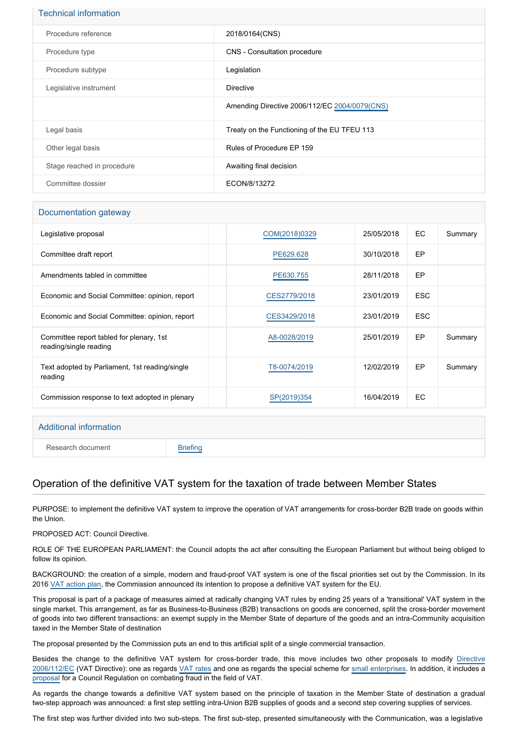| <b>Technical information</b> |                                               |
|------------------------------|-----------------------------------------------|
| Procedure reference          | 2018/0164(CNS)                                |
| Procedure type               | CNS - Consultation procedure                  |
| Procedure subtype            | Legislation                                   |
| Legislative instrument       | <b>Directive</b>                              |
|                              | Amending Directive 2006/112/EC 2004/0079(CNS) |
| Legal basis                  | Treaty on the Functioning of the EU TFEU 113  |
| Other legal basis            | Rules of Procedure EP 159                     |
| Stage reached in procedure   | Awaiting final decision                       |
| Committee dossier            | ECON/8/13272                                  |

### Documentation gateway

| Legislative proposal                                               | COM(2018)0329 | 25/05/2018 | EC.        | Summary |
|--------------------------------------------------------------------|---------------|------------|------------|---------|
| Committee draft report                                             | PE629.628     | 30/10/2018 | EP         |         |
| Amendments tabled in committee                                     | PE630.755     | 28/11/2018 | EP         |         |
| Economic and Social Committee: opinion, report                     | CES2779/2018  | 23/01/2019 | <b>ESC</b> |         |
| Economic and Social Committee: opinion, report                     | CES3429/2018  | 23/01/2019 | <b>ESC</b> |         |
| Committee report tabled for plenary, 1st<br>reading/single reading | A8-0028/2019  | 25/01/2019 | EP         | Summary |
| Text adopted by Parliament, 1st reading/single<br>reading          | T8-0074/2019  | 12/02/2019 | EP         | Summary |
| Commission response to text adopted in plenary                     | SP(2019)354   | 16/04/2019 | <b>EC</b>  |         |

## Additional information

Research document [Briefing](http://www.europarl.europa.eu/thinktank/en/document.html?reference=EPRS_BRI(2018)625184)

# Operation of the definitive VAT system for the taxation of trade between Member States

PURPOSE: to implement the definitive VAT system to improve the operation of VAT arrangements for cross-border B2B trade on goods within the Union.

PROPOSED ACT: Council Directive.

ROLE OF THE EUROPEAN PARLIAMENT: the Council adopts the act after consulting the European Parliament but without being obliged to follow its opinion.

BACKGROUND: the creation of a simple, modern and fraud-proof VAT system is one of the fiscal priorities set out by the Commission. In its 2016 [VAT action plan](https://eur-lex.europa.eu/legal-content/EN/TXT/?qid=1530447253230&uri=CELEX:52016DC0148), the Commission announced its intention to propose a definitive VAT system for the EU.

This proposal is part of a package of measures aimed at radically changing VAT rules by ending 25 years of a 'transitional' VAT system in the single market. This arrangement, as far as Business-to-Business (B2B) transactions on goods are concerned, split the cross-border movement of goods into two different transactions: an exempt supply in the Member State of departure of the goods and an intra-Community acquisition taxed in the Member State of destination

The proposal presented by the Commission puts an end to this artificial split of a single commercial transaction.

Besides the change to the definitive VAT system for cross-border trade, this move includes two other proposals to modify [Directive](https://eur-lex.europa.eu/legal-content/EN/TXT/?qid=1530447125550&uri=CELEX:02006L0112-20160601) [2006/112/EC](https://eur-lex.europa.eu/legal-content/EN/TXT/?qid=1530447125550&uri=CELEX:02006L0112-20160601) (VAT Directive): one as regards [VAT rates](http://www.europarl.europa.eu/oeil/popups/ficheprocedure.do?reference=2018/0005(CNS)&l=en) and one as regards the special scheme for [small enterprises.](http://www.europarl.europa.eu/oeil/popups/ficheprocedure.do?reference=2018/0006(CNS)&l=en) In addition, it includes a [proposal](http://www.europarl.europa.eu/oeil/popups/ficheprocedure.do?reference=2017/0248(CNS)&l=en) for a Council Regulation on combating fraud in the field of VAT.

As regards the change towards a definitive VAT system based on the principle of taxation in the Member State of destination a gradual two-step approach was announced: a first step settling intra-Union B2B supplies of goods and a second step covering supplies of services.

The first step was further divided into two sub-steps. The first sub-step, presented simultaneously with the Communication, was a legislative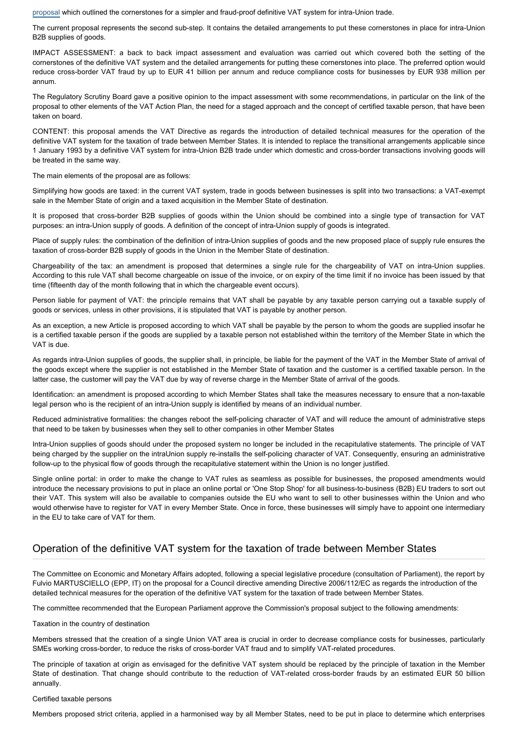[proposal](http://www.europarl.europa.eu/oeil/popups/ficheprocedure.do?reference=2017/0251(CNS)&l=en) which outlined the cornerstones for a simpler and fraud-proof definitive VAT system for intra-Union trade.

The current proposal represents the second sub-step. It contains the detailed arrangements to put these cornerstones in place for intra-Union B2B supplies of goods.

IMPACT ASSESSMENT: a back to back impact assessment and evaluation was carried out which covered both the setting of the cornerstones of the definitive VAT system and the detailed arrangements for putting these cornerstones into place. The preferred option would reduce cross-border VAT fraud by up to EUR 41 billion per annum and reduce compliance costs for businesses by EUR 938 million per annum.

The Regulatory Scrutiny Board gave a positive opinion to the impact assessment with some recommendations, in particular on the link of the proposal to other elements of the VAT Action Plan, the need for a staged approach and the concept of certified taxable person, that have been taken on board.

CONTENT: this proposal amends the VAT Directive as regards the introduction of detailed technical measures for the operation of the definitive VAT system for the taxation of trade between Member States. It is intended to replace the transitional arrangements applicable since 1 January 1993 by a definitive VAT system for intra-Union B2B trade under which domestic and cross-border transactions involving goods will be treated in the same way.

The main elements of the proposal are as follows:

Simplifying how goods are taxed: in the current VAT system, trade in goods between businesses is split into two transactions: a VAT-exempt sale in the Member State of origin and a taxed acquisition in the Member State of destination.

It is proposed that cross-border B2B supplies of goods within the Union should be combined into a single type of transaction for VAT purposes: an intra-Union supply of goods. A definition of the concept of intra-Union supply of goods is integrated.

Place of supply rules: the combination of the definition of intra-Union supplies of goods and the new proposed place of supply rule ensures the taxation of cross-border B2B supply of goods in the Union in the Member State of destination.

Chargeability of the tax: an amendment is proposed that determines a single rule for the chargeability of VAT on intra-Union supplies. According to this rule VAT shall become chargeable on issue of the invoice, or on expiry of the time limit if no invoice has been issued by that time (fifteenth day of the month following that in which the chargeable event occurs).

Person liable for payment of VAT: the principle remains that VAT shall be payable by any taxable person carrying out a taxable supply of goods or services, unless in other provisions, it is stipulated that VAT is payable by another person.

As an exception, a new Article is proposed according to which VAT shall be payable by the person to whom the goods are supplied insofar he is a certified taxable person if the goods are supplied by a taxable person not established within the territory of the Member State in which the VAT is due.

As regards intra-Union supplies of goods, the supplier shall, in principle, be liable for the payment of the VAT in the Member State of arrival of the goods except where the supplier is not established in the Member State of taxation and the customer is a certified taxable person. In the latter case, the customer will pay the VAT due by way of reverse charge in the Member State of arrival of the goods.

Identification: an amendment is proposed according to which Member States shall take the measures necessary to ensure that a non-taxable legal person who is the recipient of an intra-Union supply is identified by means of an individual number.

Reduced administrative formalities: the changes reboot the self-policing character of VAT and will reduce the amount of administrative steps that need to be taken by businesses when they sell to other companies in other Member States

Intra-Union supplies of goods should under the proposed system no longer be included in the recapitulative statements. The principle of VAT being charged by the supplier on the intraUnion supply re-installs the self-policing character of VAT. Consequently, ensuring an administrative follow-up to the physical flow of goods through the recapitulative statement within the Union is no longer justified.

Single online portal: in order to make the change to VAT rules as seamless as possible for businesses, the proposed amendments would introduce the necessary provisions to put in place an online portal or 'One Stop Shop' for all business-to-business (B2B) EU traders to sort out their VAT. This system will also be available to companies outside the EU who want to sell to other businesses within the Union and who would otherwise have to register for VAT in every Member State. Once in force, these businesses will simply have to appoint one intermediary in the EU to take care of VAT for them.

## Operation of the definitive VAT system for the taxation of trade between Member States

The Committee on Economic and Monetary Affairs adopted, following a special legislative procedure (consultation of Parliament), the report by Fulvio MARTUSCIELLO (EPP, IT) on the proposal for a Council directive amending Directive 2006/112/EC as regards the introduction of the detailed technical measures for the operation of the definitive VAT system for the taxation of trade between Member States.

The committee recommended that the European Parliament approve the Commission's proposal subject to the following amendments:

Taxation in the country of destination

Members stressed that the creation of a single Union VAT area is crucial in order to decrease compliance costs for businesses, particularly SMEs working cross-border, to reduce the risks of cross-border VAT fraud and to simplify VAT-related procedures.

The principle of taxation at origin as envisaged for the definitive VAT system should be replaced by the principle of taxation in the Member State of destination. That change should contribute to the reduction of VAT-related cross-border frauds by an estimated EUR 50 billion annually.

#### Certified taxable persons

Members proposed strict criteria, applied in a harmonised way by all Member States, need to be put in place to determine which enterprises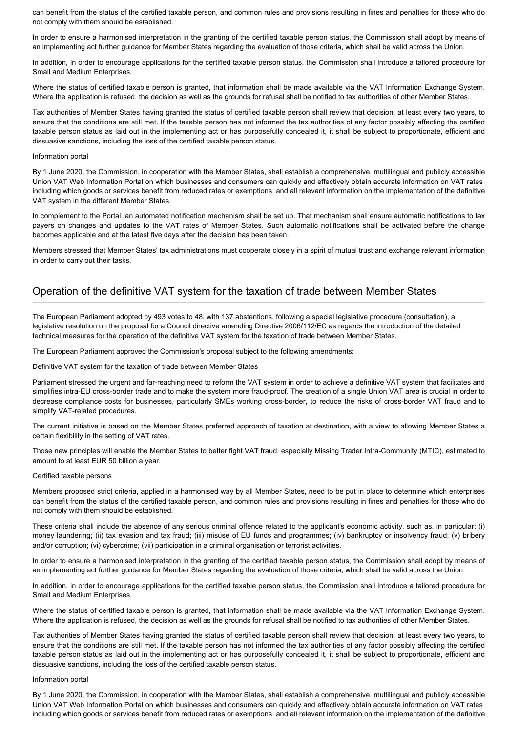can benefit from the status of the certified taxable person, and common rules and provisions resulting in fines and penalties for those who do not comply with them should be established.

In order to ensure a harmonised interpretation in the granting of the certified taxable person status, the Commission shall adopt by means of an implementing act further guidance for Member States regarding the evaluation of those criteria, which shall be valid across the Union.

In addition, in order to encourage applications for the certified taxable person status, the Commission shall introduce a tailored procedure for Small and Medium Enterprises.

Where the status of certified taxable person is granted, that information shall be made available via the VAT Information Exchange System. Where the application is refused, the decision as well as the grounds for refusal shall be notified to tax authorities of other Member States.

Tax authorities of Member States having granted the status of certified taxable person shall review that decision, at least every two years, to ensure that the conditions are still met. If the taxable person has not informed the tax authorities of any factor possibly affecting the certified taxable person status as laid out in the implementing act or has purposefully concealed it, it shall be subject to proportionate, efficient and dissuasive sanctions, including the loss of the certified taxable person status.

#### Information portal

By 1 June 2020, the Commission, in cooperation with the Member States, shall establish a comprehensive, multilingual and publicly accessible Union VAT Web Information Portal on which businesses and consumers can quickly and effectively obtain accurate information on VAT rates including which goods or services benefit from reduced rates or exemptions and all relevant information on the implementation of the definitive VAT system in the different Member States.

In complement to the Portal, an automated notification mechanism shall be set up. That mechanism shall ensure automatic notifications to tax payers on changes and updates to the VAT rates of Member States. Such automatic notifications shall be activated before the change becomes applicable and at the latest five days after the decision has been taken.

Members stressed that Member States' tax administrations must cooperate closely in a spirit of mutual trust and exchange relevant information in order to carry out their tasks.

## Operation of the definitive VAT system for the taxation of trade between Member States

The European Parliament adopted by 493 votes to 48, with 137 abstentions, following a special legislative procedure (consultation), a legislative resolution on the proposal for a Council directive amending Directive 2006/112/EC as regards the introduction of the detailed technical measures for the operation of the definitive VAT system for the taxation of trade between Member States.

The European Parliament approved the Commission's proposal subject to the following amendments:

Definitive VAT system for the taxation of trade between Member States

Parliament stressed the urgent and far-reaching need to reform the VAT system in order to achieve a definitive VAT system that facilitates and simplifies intra-EU cross-border trade and to make the system more fraud-proof. The creation of a single Union VAT area is crucial in order to decrease compliance costs for businesses, particularly SMEs working cross-border, to reduce the risks of cross-border VAT fraud and to simplify VAT-related procedures.

The current initiative is based on the Member States preferred approach of taxation at destination, with a view to allowing Member States a certain flexibility in the setting of VAT rates.

Those new principles will enable the Member States to better fight VAT fraud, especially Missing Trader Intra-Community (MTIC), estimated to amount to at least EUR 50 billion a year.

#### Certified taxable persons

Members proposed strict criteria, applied in a harmonised way by all Member States, need to be put in place to determine which enterprises can benefit from the status of the certified taxable person, and common rules and provisions resulting in fines and penalties for those who do not comply with them should be established.

These criteria shall include the absence of any serious criminal offence related to the applicant's economic activity, such as, in particular: (i) money laundering; (ii) tax evasion and tax fraud; (iii) misuse of EU funds and programmes; (iv) bankruptcy or insolvency fraud; (v) bribery and/or corruption; (vi) cybercrime; (vii) participation in a criminal organisation or terrorist activities.

In order to ensure a harmonised interpretation in the granting of the certified taxable person status, the Commission shall adopt by means of an implementing act further guidance for Member States regarding the evaluation of those criteria, which shall be valid across the Union.

In addition, in order to encourage applications for the certified taxable person status, the Commission shall introduce a tailored procedure for Small and Medium Enterprises.

Where the status of certified taxable person is granted, that information shall be made available via the VAT Information Exchange System. Where the application is refused, the decision as well as the grounds for refusal shall be notified to tax authorities of other Member States.

Tax authorities of Member States having granted the status of certified taxable person shall review that decision, at least every two years, to ensure that the conditions are still met. If the taxable person has not informed the tax authorities of any factor possibly affecting the certified taxable person status as laid out in the implementing act or has purposefully concealed it, it shall be subject to proportionate, efficient and dissuasive sanctions, including the loss of the certified taxable person status.

#### Information portal

By 1 June 2020, the Commission, in cooperation with the Member States, shall establish a comprehensive, multilingual and publicly accessible Union VAT Web Information Portal on which businesses and consumers can quickly and effectively obtain accurate information on VAT rates including which goods or services benefit from reduced rates or exemptions and all relevant information on the implementation of the definitive